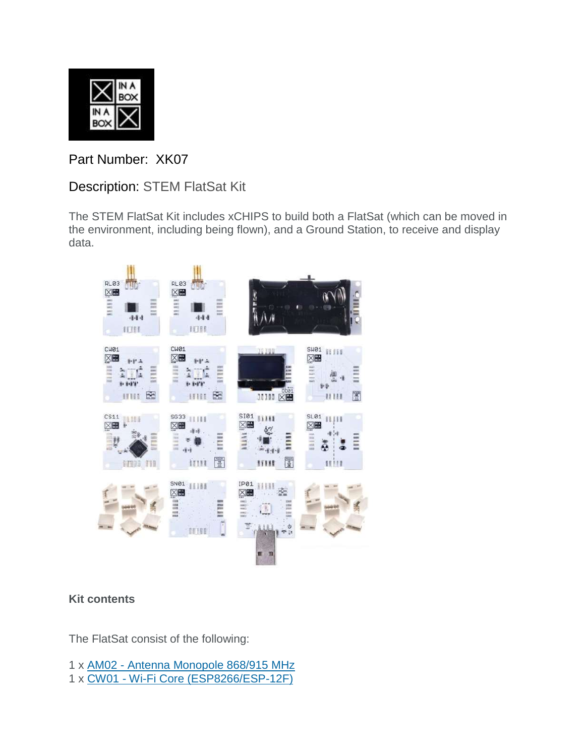

Part Number: XK07

Description: STEM FlatSat Kit

The STEM FlatSat Kit includes xCHIPS to build both a FlatSat (which can be moved in the environment, including being flown), and a Ground Station, to receive and display data.



## **Kit contents**

The FlatSat consist of the following:

- 1 x AM02 [Antenna Monopole 868/915 MHz](https://xinabox.cc/admin/products/9803745156)
- 1 x CW01 Wi-Fi [Core \(ESP8266/ESP-12F\)](https://xinabox.cc/products/cw01)